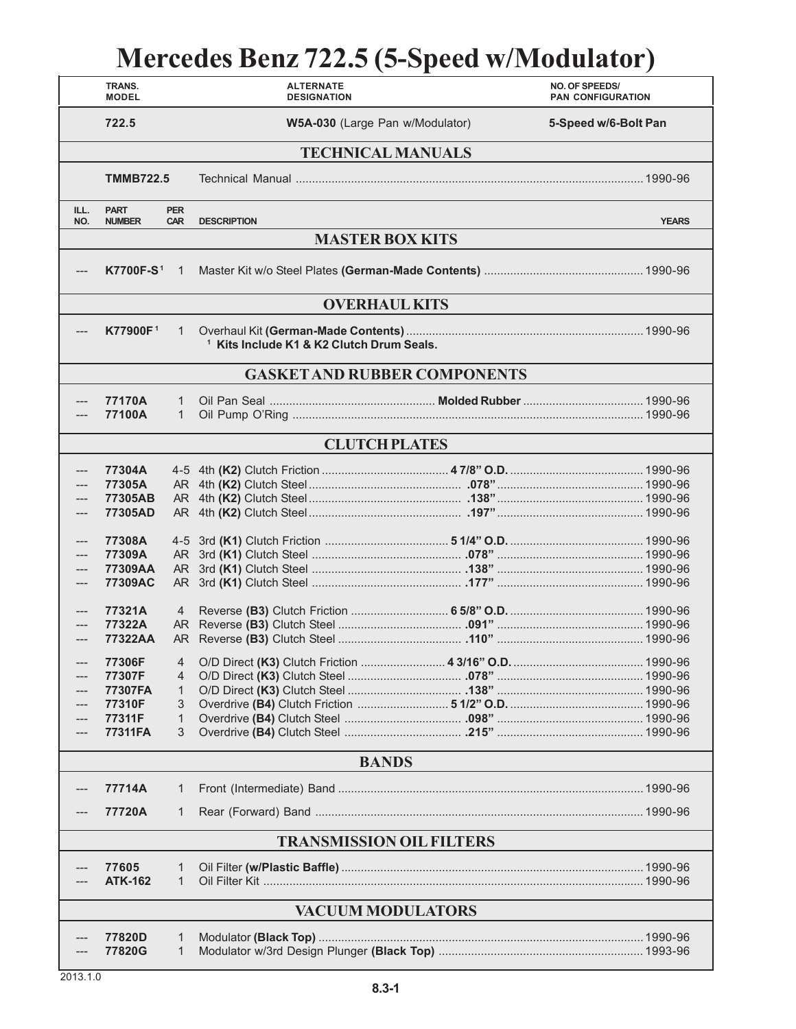## **Mercedes Benz 722.5 (5-Speed w/Modulator)**

|                                     | TRANS.<br><b>MODEL</b>                                     |                                         | <b>ALTERNATE</b><br><b>DESIGNATION</b>               |                      | NO. OF SPEEDS/<br><b>PAN CONFIGURATION</b> |  |  |  |
|-------------------------------------|------------------------------------------------------------|-----------------------------------------|------------------------------------------------------|----------------------|--------------------------------------------|--|--|--|
|                                     | 722.5                                                      |                                         | W5A-030 (Large Pan w/Modulator)                      | 5-Speed w/6-Bolt Pan |                                            |  |  |  |
| <b>TECHNICAL MANUALS</b>            |                                                            |                                         |                                                      |                      |                                            |  |  |  |
|                                     | <b>TMMB722.5</b>                                           |                                         |                                                      |                      |                                            |  |  |  |
| ILL.<br>NO.                         | <b>PART</b><br><b>NUMBER</b>                               | <b>PER</b><br><b>CAR</b>                | <b>DESCRIPTION</b>                                   |                      | <b>YEARS</b>                               |  |  |  |
| <b>MASTER BOX KITS</b>              |                                                            |                                         |                                                      |                      |                                            |  |  |  |
| ---                                 | <b>K7700F-S1</b>                                           | $\overline{1}$                          |                                                      |                      |                                            |  |  |  |
| <b>OVERHAUL KITS</b>                |                                                            |                                         |                                                      |                      |                                            |  |  |  |
| ---                                 | K77900F1                                                   | $\mathbf{1}$                            | <sup>1</sup> Kits Include K1 & K2 Clutch Drum Seals. |                      |                                            |  |  |  |
| <b>GASKET AND RUBBER COMPONENTS</b> |                                                            |                                         |                                                      |                      |                                            |  |  |  |
| ---                                 | 77170A<br>77100A                                           | 1<br>$\mathbf{1}$                       |                                                      |                      |                                            |  |  |  |
|                                     | <b>CLUTCH PLATES</b>                                       |                                         |                                                      |                      |                                            |  |  |  |
| ---<br>---<br>---                   | 77304A<br>77305A<br>77305AB<br>77305AD<br>77308A           |                                         |                                                      |                      |                                            |  |  |  |
| ---<br>---<br>---                   | 77309A<br>77309AA<br>77309AC                               |                                         |                                                      |                      |                                            |  |  |  |
| $---$<br>---<br>---                 | 77321A<br>77322A<br>77322AA                                | $\overline{4}$                          |                                                      |                      |                                            |  |  |  |
|                                     | 77306F<br>77307F<br>77307FA<br>77310F<br>77311F<br>77311FA | $\overline{4}$<br>4<br>1<br>3<br>1<br>3 |                                                      |                      |                                            |  |  |  |
| <b>BANDS</b>                        |                                                            |                                         |                                                      |                      |                                            |  |  |  |
|                                     | 77714A                                                     | 1                                       |                                                      |                      |                                            |  |  |  |
|                                     | 77720A                                                     | 1                                       |                                                      |                      |                                            |  |  |  |
| <b>TRANSMISSION OIL FILTERS</b>     |                                                            |                                         |                                                      |                      |                                            |  |  |  |
|                                     | 77605<br><b>ATK-162</b>                                    | 1<br>1                                  |                                                      |                      |                                            |  |  |  |
| <b>VACUUM MODULATORS</b>            |                                                            |                                         |                                                      |                      |                                            |  |  |  |
|                                     | 77820D<br>77820G                                           | 1<br>1                                  |                                                      |                      |                                            |  |  |  |